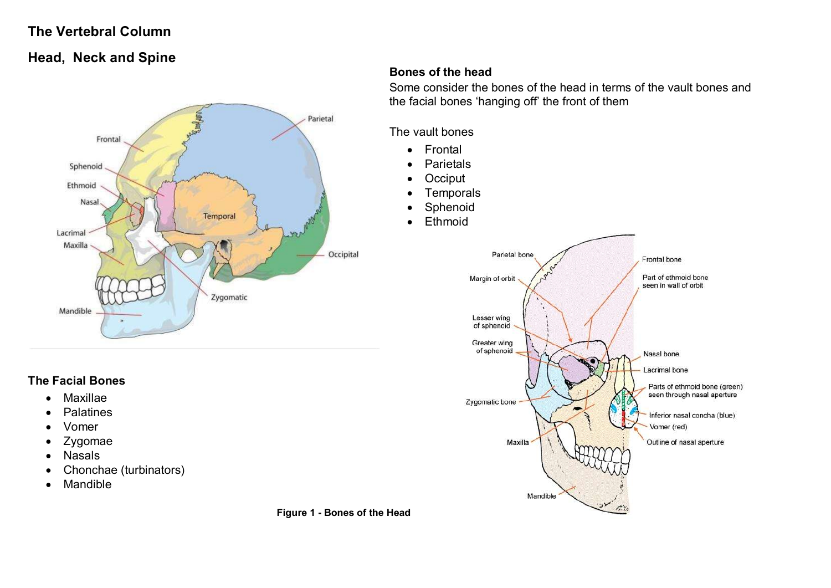## **The Vertebral Column**

# **Head, Neck and Spine**



## **Bones of the head**

Some consider the bones of the head in terms of the vault bones and the facial bones 'hanging off' the front of them

#### The vault bones

- Frontal
- Parietals
- Occiput
- Temporals
- Sphenoid
- Ethmoid



## **The Facial Bones**

- Maxillae
- Palatines
- Vomer
- Zygomae
- Nasals
- Chonchae (turbinators)
- Mandible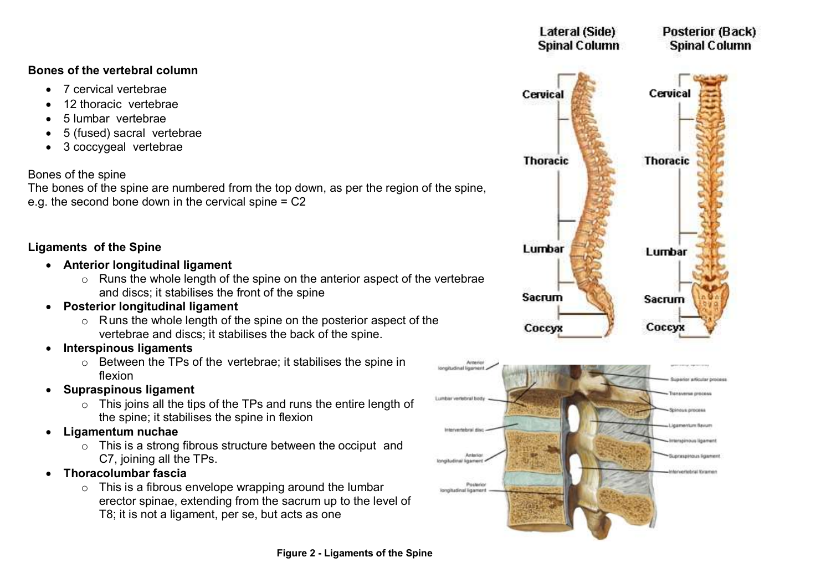## **Bones of the vertebral column**

- 7 cervical vertebrae
- 12 thoracic vertebrae
- 5 lumbar vertebrae
- 5 (fused) sacral vertebrae
- 3 coccygeal vertebrae

## Bones of the spine

The bones of the spine are numbered from the top down, as per the region of the spine, e.g. the second bone down in the cervical spine  $= C2$ 

## **Ligaments of the Spine**

- **Anterior longitudinal ligament**
	- o Runs the whole length of the spine on the anterior aspect of the vertebrae and discs; it stabilises the front of the spine
- **Posterior longitudinal ligament**
	- o Runs the whole length of the spine on the posterior aspect of the vertebrae and discs; it stabilises the back of the spine.
- **Interspinous ligaments**
	- o Between the TPs of the vertebrae; it stabilises the spine in flexion
- **Supraspinous ligament**
	- $\circ$  This joins all the tips of the TPs and runs the entire length of the spine; it stabilises the spine in flexion
- **Ligamentum nuchae**
	- $\circ$  This is a strong fibrous structure between the occiput and C7, joining all the TPs.
- **Thoracolumbar fascia**
	- $\circ$  This is a fibrous envelope wrapping around the lumbar erector spinae, extending from the sacrum up to the level of T8; it is not a ligament, per se, but acts as one



Posterio ionoludinal lineman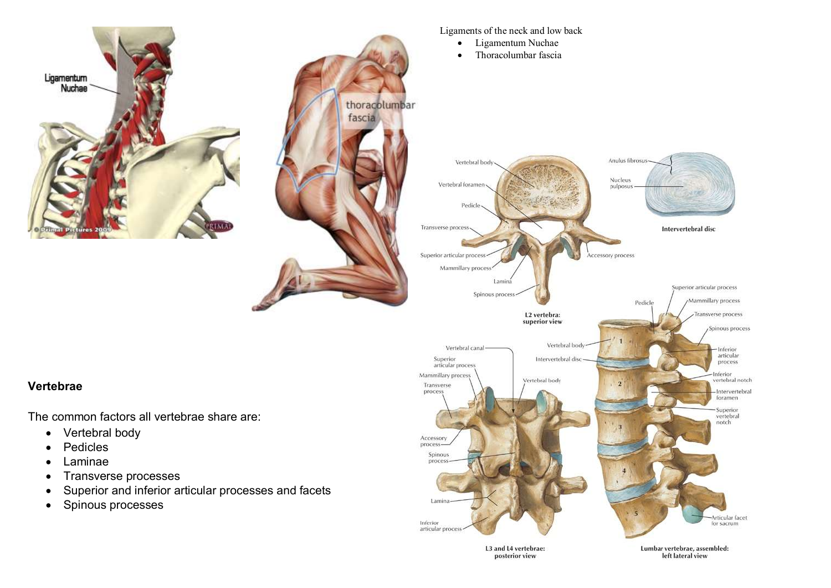

L3 and L4 vertebrae: posterior view

Lumbar vertebrae, assembled: left lateral view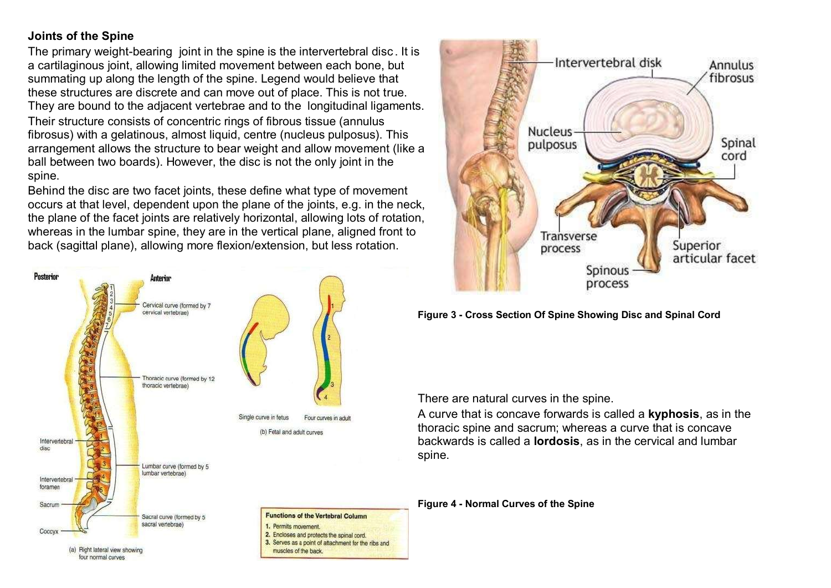## **Joints of the Spine**

The primary weight-bearing joint in the spine is the intervertebral disc. It is a cartilaginous joint, allowing limited movement between each bone, but summating up along the length of the spine. Legend would believe that these structures are discrete and can move out of place. This is not true. They are bound to the adjacent vertebrae and to the longitudinal ligaments. Their structure consists of concentric rings of fibrous tissue (annulus fibrosus) with a gelatinous, almost liquid, centre (nucleus pulposus). This arrangement allows the structure to bear weight and allow movement (like a ball between two boards). However, the disc is not the only joint in the spine.

Behind the disc are two facet joints, these define what type of movement occurs at that level, dependent upon the plane of the joints, e.g. in the neck, the plane of the facet joints are relatively horizontal, allowing lots of rotation, whereas in the lumbar spine, they are in the vertical plane, aligned front to back (sagittal plane), allowing more flexion/extension, but less rotation.





**Figure 3 - Cross Section Of Spine Showing Disc and Spinal Cord**

There are natural curves in the spine.

A curve that is concave forwards is called a **kyphosis**, as in the thoracic spine and sacrum; whereas a curve that is concave backwards is called a **lordosis**, as in the cervical and lumbar spine.

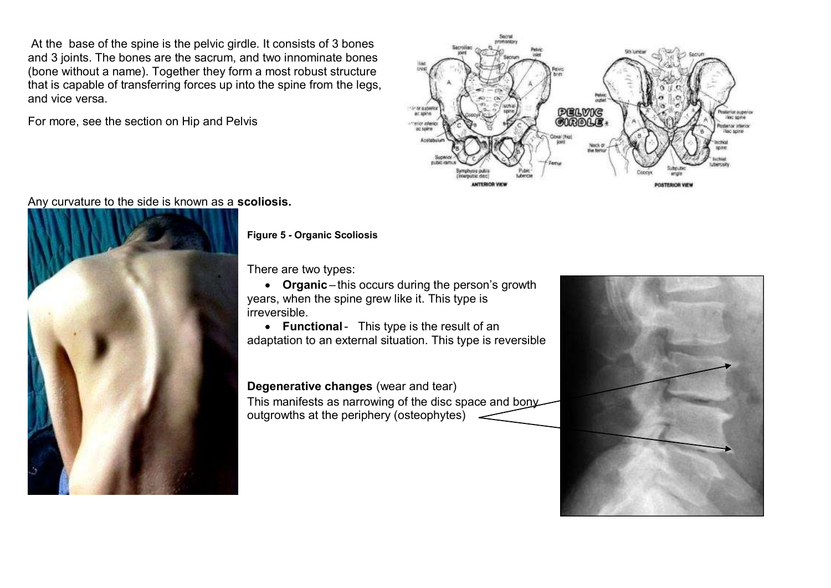At the base of the spine is the pelvic girdle. It consists of 3 bones and 3 joints. The bones are the sacrum, and two innominate bones (bone without a name). Together they form a most robust structure that is capable of transferring forces up into the spine from the legs, and vice versa.

For more, see the section on Hip and Pelvis



Any curvature to the side is known as a **scoliosis.**



**Figure 5 - Organic Scoliosis**

There are two types:

 **Organic** – this occurs during the person's growth years, when the spine grew like it. This type is irreversible.

 **Functional**- This type is the result of an adaptation to an external situation. This type is reversible

**Degenerative changes** (wear and tear)

This manifests as narrowing of the disc space and bony outgrowths at the periphery (osteophytes)

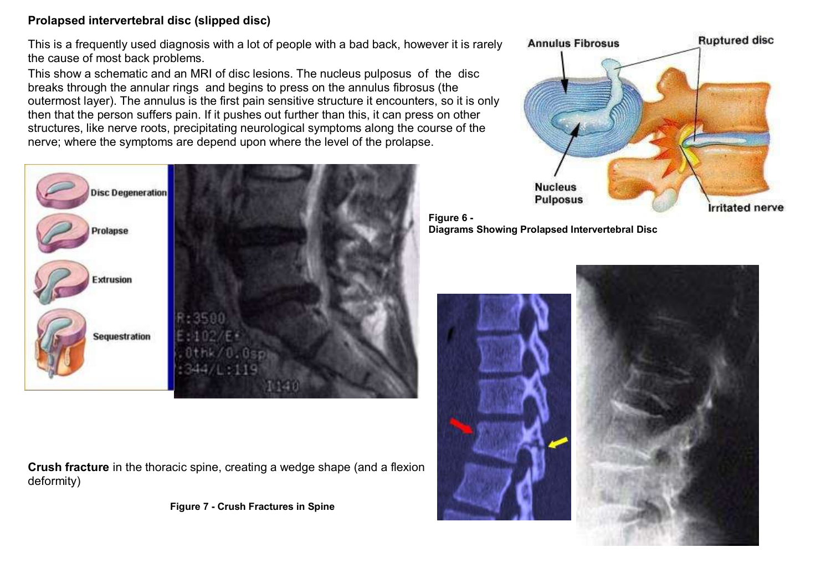### **Prolapsed intervertebral disc (slipped disc)**

This is a frequently used diagnosis with a lot of people with a bad back, however it is rarely the cause of most back problems.

This show a schematic and an MRI of disc lesions. The nucleus pulposus of the disc breaks through the annular rings and begins to press on the annulus fibrosus (the outermost layer). The annulus is the first pain sensitive structure it encounters, so it is only then that the person suffers pain. If it pushes out further than this, it can press on other structures, like nerve roots, precipitating neurological symptoms along the course of the nerve; where the symptoms are depend upon where the level of the prolapse.





**Crush fracture** in the thoracic spine, creating a wedge shape (and a flexion deformity)

**Figure 7 - Crush Fractures in Spine**

**Figure 6 - Diagrams Showing Prolapsed Intervertebral Disc**

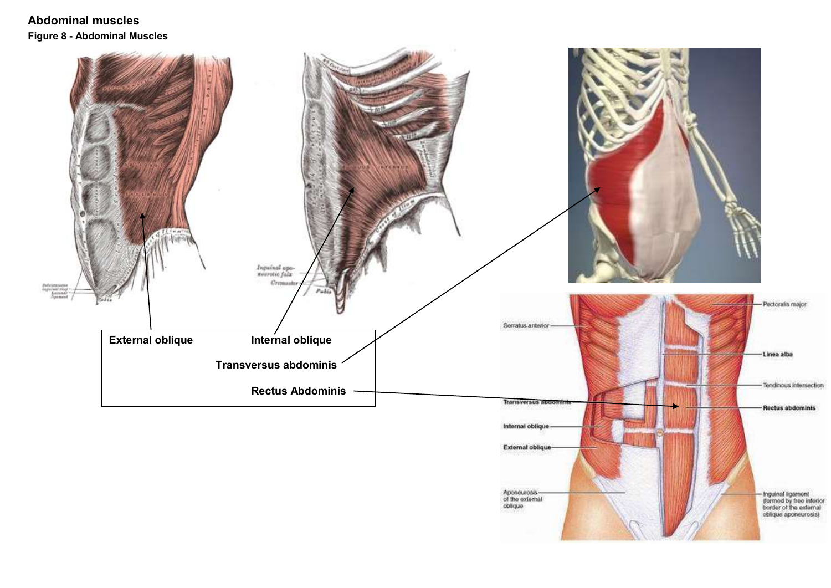## **Abdominal muscles Figure 8 - Abdominal Muscles**

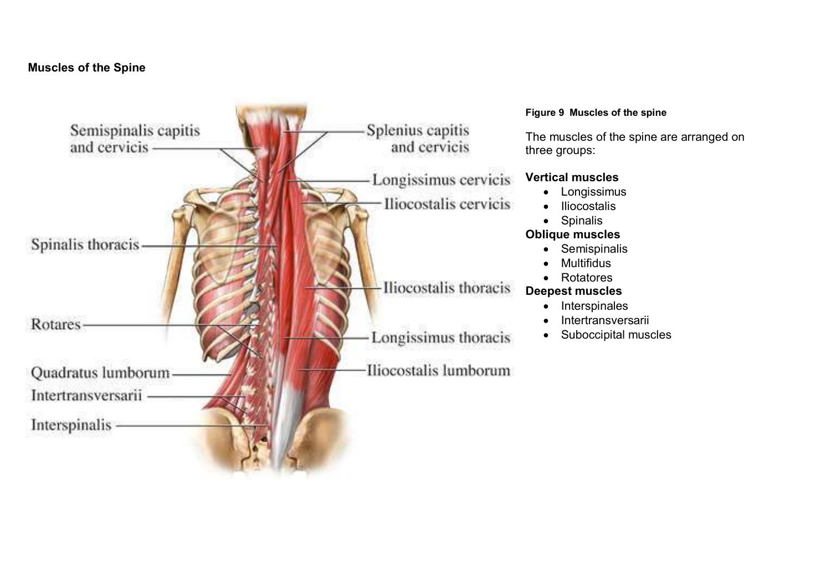## **Muscles of the Spine**

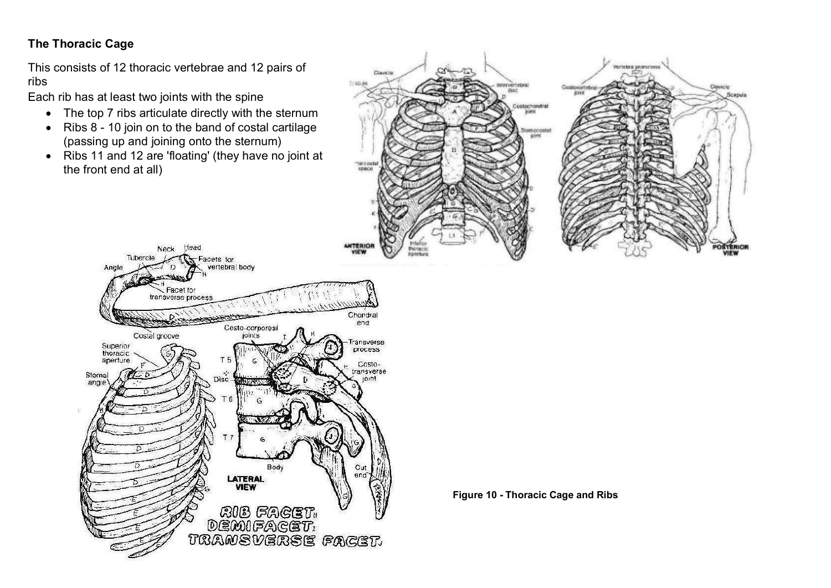## **The Thoracic Cage**

This consists of 12 thoracic vertebrae and 12 pairs of ribs

Each rib has at least two joints with the spine

- The top 7 ribs articulate directly with the sternum
- Ribs 8 10 join on to the band of costal cartilage (passing up and joining onto the sternum)
- Ribs 11 and 12 are 'floating' (they have no joint at the front end at all)

Head

Neck